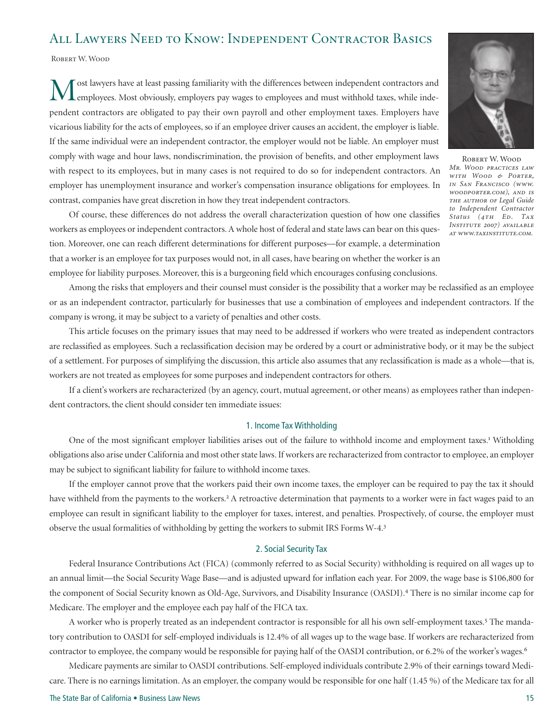# All Lawyers Need to Know: Independent Contractor Basics

ROBERT W. WOOD

West lawyers have at least passing familiarity with the differences between independent contractors and employees. Most obviously, employers pay wages to employees and must withhold taxes, while independent contractors are obligated to pay their own payroll and other employment taxes. Employers have vicarious liability for the acts of employees, so if an employee driver causes an accident, the employer is liable. If the same individual were an independent contractor, the employer would not be liable. An employer must comply with wage and hour laws, nondiscrimination, the provision of benefits, and other employment laws with respect to its employees, but in many cases is not required to do so for independent contractors. An employer has unemployment insurance and worker's compensation insurance obligations for employees. In contrast, companies have great discretion in how they treat independent contractors.



ROBERT W. WOOD *Mr. Wood practices law with Wood & Porter, in San Francisco (www. woodporter.com), and is the author of Legal Guide to Independent Contractor Status (4th Ed. Tax Institute 2007) available at www.taxinstitute.com.* 

Of course, these differences do not address the overall characterization question of how one classifies workers as employees or independent contractors. A whole host of federal and state laws can bear on this question. Moreover, one can reach different determinations for different purposes—for example, a determination that a worker is an employee for tax purposes would not, in all cases, have bearing on whether the worker is an employee for liability purposes. Moreover, this is a burgeoning field which encourages confusing conclusions.

Among the risks that employers and their counsel must consider is the possibility that a worker may be reclassified as an employee or as an independent contractor, particularly for businesses that use a combination of employees and independent contractors. If the company is wrong, it may be subject to a variety of penalties and other costs.

This article focuses on the primary issues that may need to be addressed if workers who were treated as independent contractors are reclassified as employees. Such a reclassification decision may be ordered by a court or administrative body, or it may be the subject of a settlement. For purposes of simplifying the discussion, this article also assumes that any reclassification is made as a whole—that is, workers are not treated as employees for some purposes and independent contractors for others.

If a client's workers are recharacterized (by an agency, court, mutual agreement, or other means) as employees rather than independent contractors, the client should consider ten immediate issues:

# 1. Income Tax Withholding

One of the most significant employer liabilities arises out of the failure to withhold income and employment taxes.<sup>1</sup> Witholding obligations also arise under California and most other state laws. If workers are recharacterized from contractor to employee, an employer may be subject to significant liability for failure to withhold income taxes.

If the employer cannot prove that the workers paid their own income taxes, the employer can be required to pay the tax it should have withheld from the payments to the workers.<sup>2</sup> A retroactive determination that payments to a worker were in fact wages paid to an employee can result in significant liability to the employer for taxes, interest, and penalties. Prospectively, of course, the employer must observe the usual formalities of withholding by getting the workers to submit IRS Forms W-4.<sup>3</sup>

# 2. Social Security Tax

Federal Insurance Contributions Act (FICA) (commonly referred to as Social Security) withholding is required on all wages up to an annual limit—the Social Security Wage Base—and is adjusted upward for inflation each year. For 2009, the wage base is \$106,800 for the component of Social Security known as Old-Age, Survivors, and Disability Insurance (OASDI).<sup>4</sup> There is no similar income cap for Medicare. The employer and the employee each pay half of the FICA tax.

A worker who is properly treated as an independent contractor is responsible for all his own self-employment taxes.<sup>5</sup> The mandatory contribution to OASDI for self-employed individuals is 12.4% of all wages up to the wage base. If workers are recharacterized from contractor to employee, the company would be responsible for paying half of the OASDI contribution, or 6.2% of the worker's wages.<sup>6</sup>

Medicare payments are similar to OASDI contributions. Self-employed individuals contribute 2.9% of their earnings toward Medicare. There is no earnings limitation. As an employer, the company would be responsible for one half (1.45 %) of the Medicare tax for all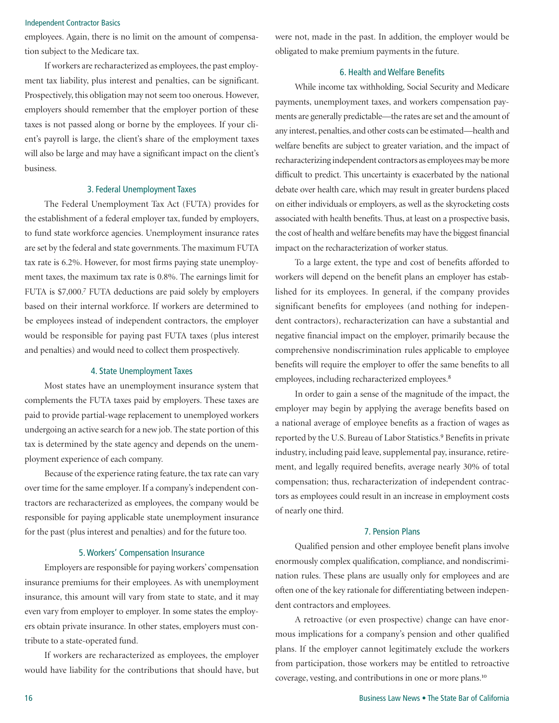### Independent Contractor Basics

employees. Again, there is no limit on the amount of compensation subject to the Medicare tax.

If workers are recharacterized as employees, the past employment tax liability, plus interest and penalties, can be significant. Prospectively, this obligation may not seem too onerous. However, employers should remember that the employer portion of these taxes is not passed along or borne by the employees. If your client's payroll is large, the client's share of the employment taxes will also be large and may have a significant impact on the client's business.

## 3. Federal Unemployment Taxes

The Federal Unemployment Tax Act (FUTA) provides for the establishment of a federal employer tax, funded by employers, to fund state workforce agencies. Unemployment insurance rates are set by the federal and state governments. The maximum FUTA tax rate is 6.2%. However, for most firms paying state unemployment taxes, the maximum tax rate is 0.8%. The earnings limit for FUTA is \$7,000.<sup>7</sup> FUTA deductions are paid solely by employers based on their internal workforce. If workers are determined to be employees instead of independent contractors, the employer would be responsible for paying past FUTA taxes (plus interest and penalties) and would need to collect them prospectively.

#### 4. State Unemployment Taxes

Most states have an unemployment insurance system that complements the FUTA taxes paid by employers. These taxes are paid to provide partial-wage replacement to unemployed workers undergoing an active search for a new job. The state portion of this tax is determined by the state agency and depends on the unemployment experience of each company.

Because of the experience rating feature, the tax rate can vary over time for the same employer. If a company's independent contractors are recharacterized as employees, the company would be responsible for paying applicable state unemployment insurance for the past (plus interest and penalties) and for the future too.

# 5. Workers' Compensation Insurance

Employers are responsible for paying workers' compensation insurance premiums for their employees. As with unemployment insurance, this amount will vary from state to state, and it may even vary from employer to employer. In some states the employers obtain private insurance. In other states, employers must contribute to a state-operated fund.

If workers are recharacterized as employees, the employer would have liability for the contributions that should have, but were not, made in the past. In addition, the employer would be obligated to make premium payments in the future.

# 6. Health and Welfare Benefits

While income tax withholding, Social Security and Medicare payments, unemployment taxes, and workers compensation payments are generally predictable—the rates are set and the amount of any interest, penalties, and other costs can be estimated—health and welfare benefits are subject to greater variation, and the impact of recharacterizing independent contractors as employees may be more difficult to predict. This uncertainty is exacerbated by the national debate over health care, which may result in greater burdens placed on either individuals or employers, as well as the skyrocketing costs associated with health benefits. Thus, at least on a prospective basis, the cost of health and welfare benefits may have the biggest financial impact on the recharacterization of worker status.

To a large extent, the type and cost of benefits afforded to workers will depend on the benefit plans an employer has established for its employees. In general, if the company provides significant benefits for employees (and nothing for independent contractors), recharacterization can have a substantial and negative financial impact on the employer, primarily because the comprehensive nondiscrimination rules applicable to employee benefits will require the employer to offer the same benefits to all employees, including recharacterized employees.<sup>8</sup>

In order to gain a sense of the magnitude of the impact, the employer may begin by applying the average benefits based on a national average of employee benefits as a fraction of wages as reported by the U.S. Bureau of Labor Statistics.<sup>9</sup> Benefits in private industry, including paid leave, supplemental pay, insurance, retirement, and legally required benefits, average nearly 30% of total compensation; thus, recharacterization of independent contractors as employees could result in an increase in employment costs of nearly one third.

#### 7. Pension Plans

Qualified pension and other employee benefit plans involve enormously complex qualification, compliance, and nondiscrimination rules. These plans are usually only for employees and are often one of the key rationale for differentiating between independent contractors and employees.

A retroactive (or even prospective) change can have enormous implications for a company's pension and other qualified plans. If the employer cannot legitimately exclude the workers from participation, those workers may be entitled to retroactive coverage, vesting, and contributions in one or more plans.<sup>10</sup>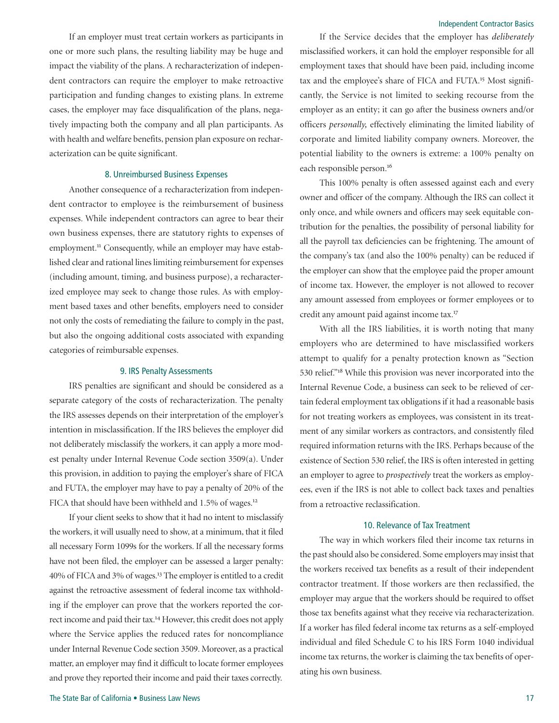If an employer must treat certain workers as participants in one or more such plans, the resulting liability may be huge and impact the viability of the plans. A recharacterization of independent contractors can require the employer to make retroactive participation and funding changes to existing plans. In extreme cases, the employer may face disqualification of the plans, negatively impacting both the company and all plan participants. As with health and welfare benefits, pension plan exposure on recharacterization can be quite significant.

### 8. Unreimbursed Business Expenses

Another consequence of a recharacterization from independent contractor to employee is the reimbursement of business expenses. While independent contractors can agree to bear their own business expenses, there are statutory rights to expenses of employment.<sup>11</sup> Consequently, while an employer may have established clear and rational lines limiting reimbursement for expenses (including amount, timing, and business purpose), a recharacterized employee may seek to change those rules. As with employment based taxes and other benefits, employers need to consider not only the costs of remediating the failure to comply in the past, but also the ongoing additional costs associated with expanding categories of reimbursable expenses.

#### 9. IRS Penalty Assessments

IRS penalties are significant and should be considered as a separate category of the costs of recharacterization. The penalty the IRS assesses depends on their interpretation of the employer's intention in misclassification. If the IRS believes the employer did not deliberately misclassify the workers, it can apply a more modest penalty under Internal Revenue Code section 3509(a). Under this provision, in addition to paying the employer's share of FICA and FUTA, the employer may have to pay a penalty of 20% of the FICA that should have been withheld and 1.5% of wages.<sup>12</sup>

If your client seeks to show that it had no intent to misclassify the workers, it will usually need to show, at a minimum, that it filed all necessary Form 1099s for the workers. If all the necessary forms have not been filed, the employer can be assessed a larger penalty: 40% of FICA and 3% of wages.<sup>13</sup> The employer is entitled to a credit against the retroactive assessment of federal income tax withholding if the employer can prove that the workers reported the correct income and paid their tax.<sup>14</sup> However, this credit does not apply where the Service applies the reduced rates for noncompliance under Internal Revenue Code section 3509. Moreover, as a practical matter, an employer may find it difficult to locate former employees and prove they reported their income and paid their taxes correctly.

If the Service decides that the employer has *deliberately*  misclassified workers, it can hold the employer responsible for all employment taxes that should have been paid, including income tax and the employee's share of FICA and FUTA.<sup>15</sup> Most significantly, the Service is not limited to seeking recourse from the employer as an entity; it can go after the business owners and/or officers *personally,* effectively eliminating the limited liability of corporate and limited liability company owners. Moreover, the potential liability to the owners is extreme: a 100% penalty on each responsible person.<sup>16</sup>

This 100% penalty is often assessed against each and every owner and officer of the company. Although the IRS can collect it only once, and while owners and officers may seek equitable contribution for the penalties, the possibility of personal liability for all the payroll tax deficiencies can be frightening. The amount of the company's tax (and also the 100% penalty) can be reduced if the employer can show that the employee paid the proper amount of income tax. However, the employer is not allowed to recover any amount assessed from employees or former employees or to credit any amount paid against income tax.<sup>17</sup>

With all the IRS liabilities, it is worth noting that many employers who are determined to have misclassified workers attempt to qualify for a penalty protection known as "Section 530 relief."<sup>18</sup> While this provision was never incorporated into the Internal Revenue Code, a business can seek to be relieved of certain federal employment tax obligations if it had a reasonable basis for not treating workers as employees, was consistent in its treatment of any similar workers as contractors, and consistently filed required information returns with the IRS. Perhaps because of the existence of Section 530 relief, the IRS is often interested in getting an employer to agree to *prospectively* treat the workers as employees, even if the IRS is not able to collect back taxes and penalties from a retroactive reclassification.

### 10. Relevance of Tax Treatment

The way in which workers filed their income tax returns in the past should also be considered. Some employers may insist that the workers received tax benefits as a result of their independent contractor treatment. If those workers are then reclassified, the employer may argue that the workers should be required to offset those tax benefits against what they receive via recharacterization. If a worker has filed federal income tax returns as a self-employed individual and filed Schedule C to his IRS Form 1040 individual income tax returns, the worker is claiming the tax benefits of operating his own business.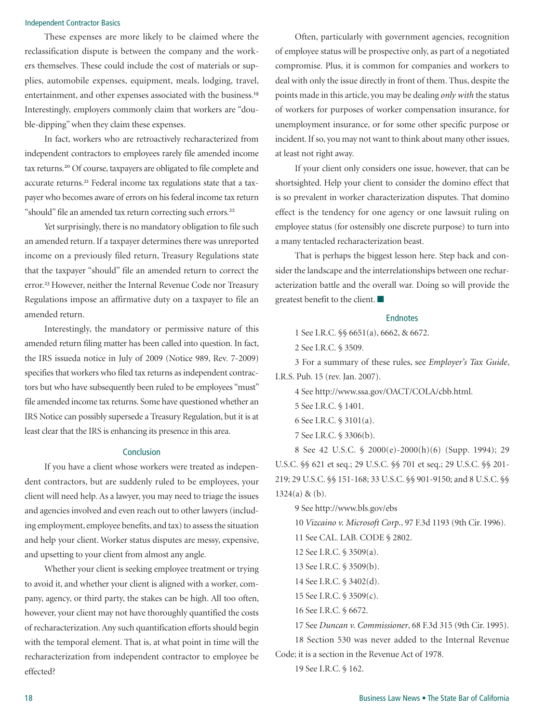## Independent Contractor Basics

These expenses are more likely to be claimed where the reclassification dispute is between the company and the workers themselves. These could include the cost of materials or supplies, automobile expenses, equipment, meals, lodging, travel, entertainment, and other expenses associated with the business.<sup>19</sup> Interestingly, employers commonly claim that workers are "double-dipping" when they claim these expenses.

In fact, workers who are retroactively recharacterized from independent contractors to employees rarely file amended income tax returns.<sup>20</sup> Of course, taxpayers are obligated to file complete and accurate returns.<sup>21</sup> Federal income tax regulations state that a taxpayer who becomes aware of errors on his federal income tax return "should" file an amended tax return correcting such errors.<sup>22</sup>

Yet surprisingly, there is no mandatory obligation to file such an amended return. If a taxpayer determines there was unreported income on a previously filed return, Treasury Regulations state that the taxpayer "should" file an amended return to correct the error.<sup>23</sup> However, neither the Internal Revenue Code nor Treasury Regulations impose an affirmative duty on a taxpayer to file an amended return.

Interestingly, the mandatory or permissive nature of this amended return filing matter has been called into question. In fact, the IRS issueda notice in July of 2009 (Notice 989, Rev. 7-2009) specifies that workers who filed tax returns as independent contractors but who have subsequently been ruled to be employees "must" file amended income tax returns. Some have questioned whether an IRS Notice can possibly supersede a Treasury Regulation, but it is at least clear that the IRS is enhancing its presence in this area.

# Conclusion

If you have a client whose workers were treated as independent contractors, but are suddenly ruled to be employees, your client will need help. As a lawyer, you may need to triage the issues and agencies involved and even reach out to other lawyers (including employment, employee benefits, and tax) to assess the situation and help your client. Worker status disputes are messy, expensive, and upsetting to your client from almost any angle.

Whether your client is seeking employee treatment or trying to avoid it, and whether your client is aligned with a worker, company, agency, or third party, the stakes can be high. All too often, however, your client may not have thoroughly quantified the costs of recharacterization. Any such quantification efforts should begin with the temporal element. That is, at what point in time will the recharacterization from independent contractor to employee be effected?

Often, particularly with government agencies, recognition of employee status will be prospective only, as part of a negotiated compromise. Plus, it is common for companies and workers to deal with only the issue directly in front of them. Thus, despite the points made in this article, you may be dealing *only with* the status of workers for purposes of worker compensation insurance, for unemployment insurance, or for some other specific purpose or incident. If so, you may not want to think about many other issues, at least not right away.

If your client only considers one issue, however, that can be shortsighted. Help your client to consider the domino effect that is so prevalent in worker characterization disputes. That domino effect is the tendency for one agency or one lawsuit ruling on employee status (for ostensibly one discrete purpose) to turn into a many tentacled recharacterization beast.

That is perhaps the biggest lesson here. Step back and consider the landscape and the interrelationships between one recharacterization battle and the overall war. Doing so will provide the greatest benefit to the client.  $\blacksquare$ 

#### Endnotes

1 See I.R.C. §§ 6651(a), 6662, & 6672.

2 See I.R.C. § 3509.

3 For a summary of these rules, see *Employer's Tax Guide*, I.R.S. Pub. 15 (rev. Jan. 2007).

4 See http://www.ssa.gov/OACT/COLA/cbb.html.

- 5 See I.R.C. § 1401.
- 6 See I.R.C. § 3101(a).
- 7 See I.R.C. § 3306(b).

8 See 42 U.S.C. § 2000(e)-2000(h)(6) (Supp. 1994); 29 U.S.C. §§ 621 et seq.; 29 U.S.C. §§ 701 et seq.; 29 U.S.C. §§ 201- 219; 29 U.S.C. §§ 151-168; 33 U.S.C. §§ 901-9150; and 8 U.S.C. §§ 1324(a) & (b).

9 See http://www.bls.gov/ebs 10 *Vizcaino v. Microsoft Corp.*, 97 F.3d 1193 (9th Cir. 1996). 11 See CAL. LAB. CODE § 2802. 12 See I.R.C. § 3509(a). 13 See I.R.C. § 3509(b). 14 See I.R.C. § 3402(d). 15 See I.R.C. § 3509(c). 16 See I.R.C. § 6672. 17 See *Duncan v. Commissioner*, 68 F.3d 315 (9th Cir. 1995).

18 Section 530 was never added to the Internal Revenue Code; it is a section in the Revenue Act of 1978.

19 See I.R.C. § 162.